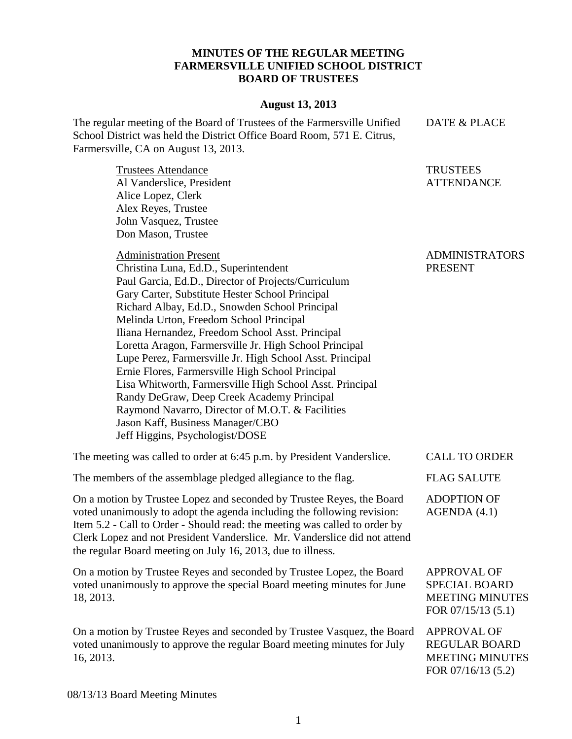## **MINUTES OF THE REGULAR MEETING FARMERSVILLE UNIFIED SCHOOL DISTRICT BOARD OF TRUSTEES**

## **August 13, 2013**

The regular meeting of the Board of Trustees of the Farmersville Unified School District was held the District Office Board Room, 571 E. Citrus, Farmersville, CA on August 13, 2013. DATE & PLACE

Trustees Attendance Al Vanderslice, President Alice Lopez, Clerk Alex Reyes, Trustee John Vasquez, Trustee Don Mason, Trustee

Administration Present Christina Luna, Ed.D., Superintendent

Paul Garcia, Ed.D., Director of Projects/Curriculum Gary Carter, Substitute Hester School Principal Richard Albay, Ed.D., Snowden School Principal Melinda Urton, Freedom School Principal Iliana Hernandez, Freedom School Asst. Principal Loretta Aragon, Farmersville Jr. High School Principal Lupe Perez, Farmersville Jr. High School Asst. Principal Ernie Flores, Farmersville High School Principal Lisa Whitworth, Farmersville High School Asst. Principal Randy DeGraw, Deep Creek Academy Principal Raymond Navarro, Director of M.O.T. & Facilities Jason Kaff, Business Manager/CBO Jeff Higgins, Psychologist/DOSE

The meeting was called to order at 6:45 p.m. by President Vanderslice. CALL TO ORDER

The members of the assemblage pledged allegiance to the flag. FLAG SALUTE

On a motion by Trustee Lopez and seconded by Trustee Reyes, the Board voted unanimously to adopt the agenda including the following revision: Item 5.2 - Call to Order - Should read: the meeting was called to order by Clerk Lopez and not President Vanderslice. Mr. Vanderslice did not attend the regular Board meeting on July 16, 2013, due to illness.

On a motion by Trustee Reyes and seconded by Trustee Lopez, the Board voted unanimously to approve the special Board meeting minutes for June 18, 2013.

On a motion by Trustee Reyes and seconded by Trustee Vasquez, the Board voted unanimously to approve the regular Board meeting minutes for July 16, 2013.

ADMINISTRATORS PRESENT

**TRUSTEES** ATTENDANCE

ADOPTION OF AGENDA (4.1)

APPROVAL OF SPECIAL BOARD MEETING MINUTES FOR 07/15/13 (5.1)

APPROVAL OF REGULAR BOARD MEETING MINUTES FOR 07/16/13 (5.2)

08/13/13 Board Meeting Minutes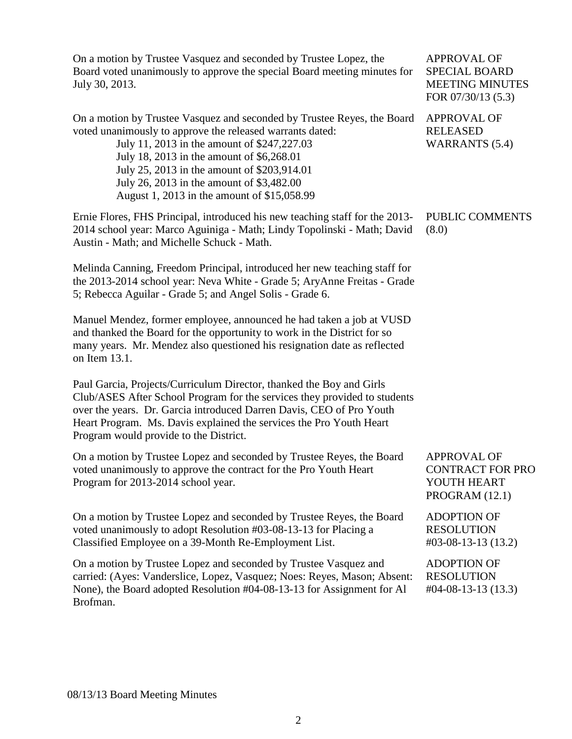On a motion by Trustee Vasquez and seconded by Trustee Lopez, the Board voted unanimously to approve the special Board meeting minutes for July 30, 2013.

On a motion by Trustee Vasquez and seconded by Trustee Reyes, the Board voted unanimously to approve the released warrants dated:

> July 11, 2013 in the amount of \$247,227.03 July 18, 2013 in the amount of \$6,268.01 July 25, 2013 in the amount of \$203,914.01 July 26, 2013 in the amount of \$3,482.00 August 1, 2013 in the amount of \$15,058.99

Ernie Flores, FHS Principal, introduced his new teaching staff for the 2013- 2014 school year: Marco Aguiniga - Math; Lindy Topolinski - Math; David Austin - Math; and Michelle Schuck - Math.

Melinda Canning, Freedom Principal, introduced her new teaching staff for the 2013-2014 school year: Neva White - Grade 5; AryAnne Freitas - Grade 5; Rebecca Aguilar - Grade 5; and Angel Solis - Grade 6.

Manuel Mendez, former employee, announced he had taken a job at VUSD and thanked the Board for the opportunity to work in the District for so many years. Mr. Mendez also questioned his resignation date as reflected on Item 13.1.

Paul Garcia, Projects/Curriculum Director, thanked the Boy and Girls Club/ASES After School Program for the services they provided to students over the years. Dr. Garcia introduced Darren Davis, CEO of Pro Youth Heart Program. Ms. Davis explained the services the Pro Youth Heart Program would provide to the District.

On a motion by Trustee Lopez and seconded by Trustee Reyes, the Board voted unanimously to approve the contract for the Pro Youth Heart Program for 2013-2014 school year. APPROVAL OF CONTRACT FOR PRO YOUTH HEART

On a motion by Trustee Lopez and seconded by Trustee Reyes, the Board voted unanimously to adopt Resolution #03-08-13-13 for Placing a Classified Employee on a 39-Month Re-Employment List.

On a motion by Trustee Lopez and seconded by Trustee Vasquez and carried: (Ayes: Vanderslice, Lopez, Vasquez; Noes: Reyes, Mason; Absent: None), the Board adopted Resolution #04-08-13-13 for Assignment for Al Brofman. ADOPTION OF **RESOLUTION** #04-08-13-13 (13.3)

APPROVAL OF SPECIAL BOARD MEETING MINUTES FOR 07/30/13 (5.3)

APPROVAL OF RELEASED WARRANTS (5.4)

PUBLIC COMMENTS (8.0)

PROGRAM (12.1)

ADOPTION OF RESOLUTION #03-08-13-13 (13.2)

08/13/13 Board Meeting Minutes